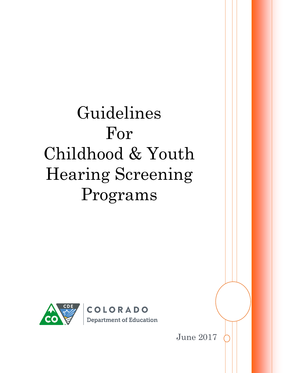# Guidelines For Childhood & Youth Hearing Screening Programs



June 2017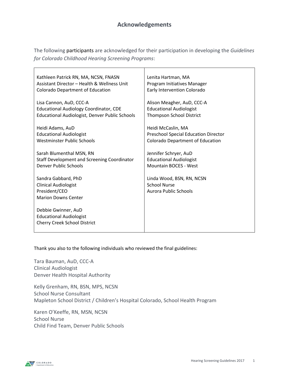The following participants are acknowledged for their participation in developing the *Guidelines for Colorado Childhood Hearing Screening Programs*:

| Kathleen Patrick RN, MA, NCSN, FNASN                                                              | Lenita Hartman, MA                                                        |
|---------------------------------------------------------------------------------------------------|---------------------------------------------------------------------------|
| Assistant Director - Health & Wellness Unit                                                       | Program Initiatives Manager                                               |
| <b>Colorado Department of Education</b>                                                           | Early Intervention Colorado                                               |
| Lisa Cannon, AuD, CCC-A                                                                           | Alison Meagher, AuD, CCC-A                                                |
| <b>Educational Audiology Coordinator, CDE</b>                                                     | <b>Educational Audiologist</b>                                            |
| Educational Audiologist, Denver Public Schools                                                    | <b>Thompson School District</b>                                           |
| Heidi Adams, AuD                                                                                  | Heidi McCaslin, MA                                                        |
| <b>Educational Audiologist</b>                                                                    | Preschool Special Education Director                                      |
| Westminster Public Schools                                                                        | <b>Colorado Department of Education</b>                                   |
| Sarah Blumenthal MSN, RN                                                                          | Jennifer Schryer, AuD                                                     |
| Staff Development and Screening Coordinator                                                       | <b>Educational Audiologist</b>                                            |
| Denver Public Schools                                                                             | <b>Mountain BOCES - West</b>                                              |
| Sandra Gabbard, PhD<br><b>Clinical Audiologist</b><br>President/CEO<br><b>Marion Downs Center</b> | Linda Wood, BSN, RN, NCSN<br><b>School Nurse</b><br>Aurora Public Schools |
| Debbie Gwinner, AuD<br><b>Educational Audiologist</b><br><b>Cherry Creek School District</b>      |                                                                           |

Thank you also to the following individuals who reviewed the final guidelines:

Tara Bauman, AuD, CCC-A Clinical Audiologist Denver Health Hospital Authority

Kelly Grenham, RN, BSN, MPS, NCSN School Nurse Consultant Mapleton School District / Children's Hospital Colorado, School Health Program

Karen O'Keeffe, RN, MSN, NCSN School Nurse Child Find Team, Denver Public Schools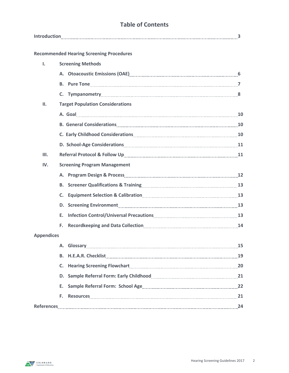# **Table of Contents**

|                   |                                                                                                                                                                                                                                | 3 |
|-------------------|--------------------------------------------------------------------------------------------------------------------------------------------------------------------------------------------------------------------------------|---|
|                   | <b>Recommended Hearing Screening Procedures</b>                                                                                                                                                                                |   |
| Ι.                | <b>Screening Methods</b>                                                                                                                                                                                                       |   |
|                   | A. Otoacoustic Emissions (OAE) Manual Contract Contract Otoaccust Contract Of A. Otoacoustic Emissions (OAE)                                                                                                                   |   |
|                   |                                                                                                                                                                                                                                |   |
|                   |                                                                                                                                                                                                                                |   |
| II.               | <b>Target Population Considerations</b>                                                                                                                                                                                        |   |
|                   | A. Goal 10                                                                                                                                                                                                                     |   |
|                   | B. General Considerations Manual Construction of the Constantine Consideration of the Consideration of the Cons                                                                                                                |   |
|                   |                                                                                                                                                                                                                                |   |
|                   | D. School-Age Considerations [11] The Constantine Constanting Constanting Constanting Constanting Constanting Constanting Constanting Constanting Constanting Constanting Constanting Constanting Constanting Constanting Cons |   |
| III.              |                                                                                                                                                                                                                                |   |
| IV.               | <b>Screening Program Management</b>                                                                                                                                                                                            |   |
|                   |                                                                                                                                                                                                                                |   |
|                   | B. Screener Qualifications & Training [10] Marson Matterson Marson 13                                                                                                                                                          |   |
|                   | C.                                                                                                                                                                                                                             |   |
|                   | D. Screening Environment 13 and 13 and 13 and 13 and 13 and 13 and 13 and 13 and 13 and 13 and 13 and 13 and 1                                                                                                                 |   |
|                   | F.                                                                                                                                                                                                                             |   |
|                   | Recordkeeping and Data Collection [14] Recordkeeping and Data Collection [14]<br>F.                                                                                                                                            |   |
| <b>Appendices</b> |                                                                                                                                                                                                                                |   |
|                   | A. Glossary 25                                                                                                                                                                                                                 |   |
|                   |                                                                                                                                                                                                                                |   |
|                   |                                                                                                                                                                                                                                |   |
|                   |                                                                                                                                                                                                                                |   |
|                   |                                                                                                                                                                                                                                |   |
|                   | Resources 21<br>F.                                                                                                                                                                                                             |   |
|                   | References 24                                                                                                                                                                                                                  |   |
|                   |                                                                                                                                                                                                                                |   |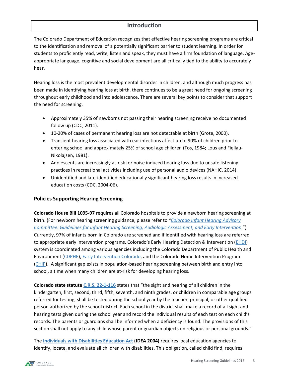# **Introduction**

The Colorado Department of Education recognizes that effective hearing screening programs are critical to the identification and removal of a potentially significant barrier to student learning. In order for students to proficiently read, write, listen and speak, they must have a firm foundation of language. Ageappropriate language, cognitive and social development are all critically tied to the ability to accurately hear.

Hearing loss is the most prevalent developmental disorder in children, and although much progress has been made in identifying hearing loss at birth, there continues to be a great need for ongoing screening throughout early childhood and into adolescence. There are several key points to consider that support the need for screening.

- Approximately 35% of newborns not passing their hearing screening receive no documented follow up (CDC, 2011).
- 10-20% of cases of permanent hearing loss are not detectable at birth (Grote, 2000).
- Transient hearing loss associated with ear infections affect up to 90% of children prior to entering school and approximately 25% of school age children (Tos, 1984; Lous and Fiellau-Nikolajsen, 1981).
- Adolescents are increasingly at-risk for noise induced hearing loss due to unsafe listening practices in recreational activities including use of personal audio devices (NAHIC, 2014).
- Unidentified and late-identified educationally significant hearing loss results in increased education costs (CDC, 2004-06).

# <span id="page-3-0"></span>**Policies Supporting Hearing Screening**

**Colorado House Bill 1095-97** requires all Colorado hospitals to provide a newborn hearing screening at birth. (For newborn hearing screening guidance, please refer to *"[Colorado Infant Hearing Advisory](http://www.chd.dphe.state.co.us/Resources/cms/ps/hcp/hearing/audiologyguide.pdf)  [Committee: Guidelines for Infant Hearing Screening, Audiologic Assessment, and Early Intervention.](http://www.chd.dphe.state.co.us/Resources/cms/ps/hcp/hearing/audiologyguide.pdf)*") Currently, 97% of infants born in Colorado are screened and if identified with hearing loss are referred to appropriate early intervention programs. Colorado's Early Hearing Detection & Intervention ([EHDI\)](http://www.infanthearing.org/states/state_profile.php?state=colorado) system is coordinated among various agencies including the Colorado Department of Public Health and Environment [\(CDPHE\)](https://www.colorado.gov/cdphe/newborn-hearing-screening)[, Early Intervention Colorado,](http://www.eicolorado.org/) and the Colorado Home Intervention Program [\(CHIP\)](http://www.csdb.org/programs-services/outreach-programs-3/early-education-services/colorado-home-intervention-programchip/). A significant gap exists in population-based hearing screening between birth and entry into school, a time when many children are at-risk for developing hearing loss.

**Colorado state statut[e C.R.S. 22-1-116](http://www.lpdirect.net/casb/crs/22-1-116.html)** states that "the sight and hearing of all children in the kindergarten, first, second, third, fifth, seventh, and ninth grades, or children in comparable age groups referred for testing, shall be tested during the school year by the teacher, principal, or other qualified person authorized by the school district. Each school in the district shall make a record of all sight and hearing tests given during the school year and record the individual results of each test on each child's records. The parents or guardians shall be informed when a deficiency is found. The provisions of this section shall not apply to any child whose parent or guardian objects on religious or personal grounds."

The **[Individuals with Disabilities Education Act](https://sites.ed.gov/idea/) (IDEA 2004)** requires local education agencies to identify, locate, and evaluate all children with disabilities. This obligation, called child find, requires

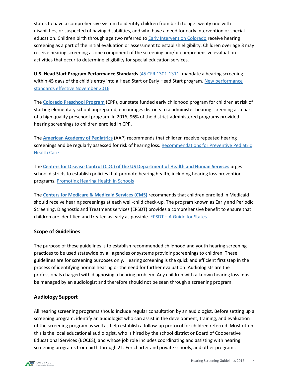states to have a comprehensive system to identify children from birth to age twenty one with disabilities, or suspected of having disabilities, and who have a need for early intervention or special education. Children birth through age two referred to [Early Intervention Colorado](http://coloradoofficeofearlychildhood.force.com/eicolorado?lang=en) receive hearing screening as a part of the initial evaluation or assessment to establish eligibility. Children over age 3 may receive hearing screening as one component of the screening and/or comprehensive evaluation activities that occur to determine eligibility for special education services.

**U.S. Head Start Program Performance Standards** [\(45 CFR 1301-1311\)](https://www.gpo.gov/fdsys/granule/CFR-2010-title45-vol4/CFR-2010-title45-vol4-part1301) mandate a hearing screening within 45 days of the child's entry into a Head Start or Early Head Start program. New performance [standards effective November 2016](http://eclkc.ohs.acf.hhs.gov/policy/presenting)

The **[Colorado Preschool Program](https://www.cde.state.co.us/cpp)** (CPP), our state funded early childhood program for children at risk of starting elementary school unprepared, encourages districts to a administer hearing screening as a part of a high quality preschool program. In 2016, 96% of the district-administered programs provided hearing screenings to children enrolled in CPP.

The **[American Academy of Pediatrics](http://www.aap.org/)** (AAP) recommends that children receive repeated hearing screenings and be regularly assessed for risk of hearing loss. Recommendations for Preventive Pediatric [Health Care](https://www.aap.org/en-us/Documents/periodicity_schedule.pdf)

The **Centers for Disease Control (CDC) of the [US Department of Health and Human Services](https://www.cdc.gov/)** urges school districts to establish policies that promote hearing health, including hearing loss prevention programs. [Promoting Hearing Health in Schools](http://www.cdc.gov/healthyschools/noise/promoting.htm)

The **[Centers for Medicare & Medicaid Services \(CMS\)](https://www.cms.gov/)** recommends that children enrolled in Medicaid should receive hearing screenings at each well-child check-up. The program known as Early and Periodic Screening, Diagnostic and Treatment services (EPSDT) provides a comprehensive benefit to ensure that children are identified and treated as early as possible. EPSDT – [A Guide for States](https://www.medicaid.gov/medicaid/benefits/downloads/epsdt_coverage_guide.pdf)

# **Scope of Guidelines**

The purpose of these guidelines is to establish recommended childhood and youth hearing screening practices to be used statewide by all agencies or systems providing screenings to children. These guidelines are for screening purposes only. Hearing screening is the quick and efficient first step in the process of identifying normal hearing or the need for further evaluation. Audiologists are the professionals charged with diagnosing a hearing problem. Any children with a known hearing loss must be managed by an audiologist and therefore should not be seen through a screening program.

# **Audiology Support**

All hearing screening programs should include regular consultation by an audiologist. Before setting up a screening program, identify an audiologist who can assist in the development, training, and evaluation of the screening program as well as help establish a follow-up protocol for children referred. Most often this is the local educational audiologist, who is hired by the school district or Board of Cooperative Educational Services (BOCES), and whose job role includes coordinating and assisting with hearing screening programs from birth through 21. For charter and private schools, and other programs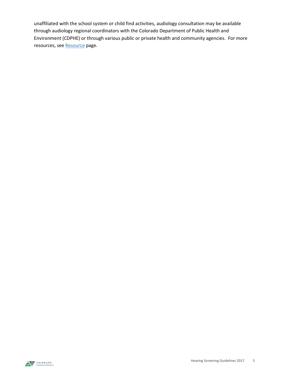unaffiliated with the school system or child find activities, audiology consultation may be available through audiology regional coordinators with the Colorado Department of Public Health and Environment (CDPHE) or through various public or private health and community agencies. For more resources, se[e Resource](#page-23-0) page.

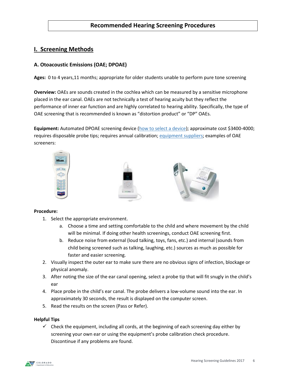# **Recommended Hearing Screening Procedures**

# **I. Screening Methods**

# **A. Otoacoustic Emissions (OAE; DPOAE)**

**Ages:** 0 to 4 years,11 months; appropriate for older students unable to perform pure tone screening

**Overview:** OAEs are sounds created in the cochlea which can be measured by a sensitive microphone placed in the ear canal. OAEs are not technically a test of hearing acuity but they reflect the performance of inner ear function and are highly correlated to hearing ability. Specifically, the type of OAE screening that is recommended is known as "distortion product" or "DP" OAEs.

**Equipment:** Automated DPOAE screening device [\(how to select a device\)](http://www.infanthearing.org/earlychildhood/docs/OAE%20EquipmentEvaluationChecklistforGuide.pdf); approximate cost \$3400-4000; requires disposable probe tips; requires annual calibration; [equipment suppliers;](#page-23-1) examples of OAE screeners:



#### **Procedure:**

- 1. Select the appropriate environment.
	- a. Choose a time and setting comfortable to the child and where movement by the child will be minimal. If doing other health screenings, conduct OAE screening first.
	- b. Reduce noise from external (loud talking, toys, fans, etc.) and internal (sounds from child being screened such as talking, laughing, etc.) sources as much as possible for faster and easier screening.
- 2. Visually inspect the outer ear to make sure there are no obvious signs of infection, blockage or physical anomaly.
- 3. After noting the size of the ear canal opening, select a probe tip that will fit snugly in the child's ear
- 4. Place probe in the child's ear canal. The probe delivers a low-volume sound into the ear. In approximately 30 seconds, the result is displayed on the computer screen.
- 5. Read the results on the screen (Pass or Refer).

#### **Helpful Tips**

 $\checkmark$  Check the equipment, including all cords, at the beginning of each screening day either by screening your own ear or using the equipment's probe calibration check procedure. Discontinue if any problems are found.

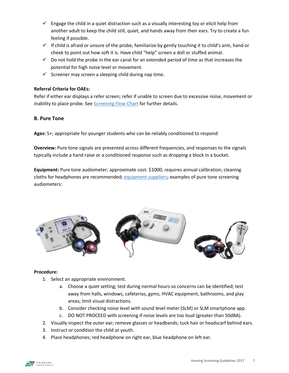- $\checkmark$  Engage the child in a quiet distraction such as a visually interesting toy or elicit help from another adult to keep the child still, quiet, and hands away from their ears. Try to create a fun feeling if possible.
- $\checkmark$  If child is afraid or unsure of the probe, familiarize by gently touching it to child's arm, hand or cheek to point out how soft it is. Have child "help" screen a doll or stuffed animal.
- $\checkmark$  Do not hold the probe in the ear canal for an extended period of time as that increases the potential for high noise level or movement.
- $\checkmark$  Screener may screen a sleeping child during nap time.

# **Referral Criteria for OAEs:**

Refer if either ear displays a refer screen; refer if unable to screen due to excessive noise, movement or inability to place probe. See **Screening [Flow Chart](#page-20-0)** for further details.

# **B. Pure Tone**

**Ages:** 5+; appropriate for younger students who can be reliably conditioned to respond

**Overview:** Pure tone signals are presented across different frequencies, and responses to the signals typically include a hand raise or a conditioned response such as dropping a block in a bucket.

**Equipment:** Pure tone audiometer; approximate cost: \$1000; requires annual calibration; cleaning cloths for headphones are recommended[; equipment suppliers;](#page-23-1) examples of pure tone screening audiometers:



#### **Procedure:**

- 1. Select an appropriate environment.
	- a. Choose a quiet setting; test during normal hours so concerns can be identified; test away from halls, windows, cafeterias, gyms, HVAC equipment, bathrooms, and play areas; limit visual distractions.
	- b. Consider checking noise level with sound level meter (SLM) or SLM smartphone app.
	- c. DO NOT PROCEED with screening if noise levels are too loud (greater than 50dBA).
- 2. Visually inspect the outer ear; remove glasses or headbands; tuck hair or headscarf behind ears.
- 3. Instruct or condition the child or youth.
- 4. Place headphones; red headphone on right ear, blue headphone on left ear.

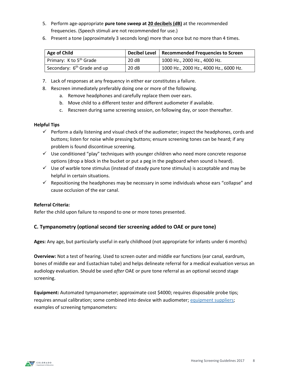- 5. Perform age-appropriate **pure tone sweep at 20 decibels (dB)** at the recommended frequencies. (Speech stimuli are not recommended for use.)
- 6. Present a tone (approximately 3 seconds long) more than once but no more than 4 times.

| Age of Child                            |      | Decibel Level   Recommended Frequencies to Screen |
|-----------------------------------------|------|---------------------------------------------------|
| Primary: K to 5 <sup>th</sup> Grade     | 20dB | 1000 Hz., 2000 Hz., 4000 Hz.                      |
| Secondary: 6 <sup>th</sup> Grade and up | 20dB | 1000 Hz., 2000 Hz., 4000 Hz., 6000 Hz.            |

- 7. Lack of responses at any frequency in either ear constitutes a failure.
- 8. Rescreen immediately preferably doing one or more of the following.
	- a. Remove headphones and carefully replace them over ears.
	- b. Move child to a different tester and different audiometer if available.
	- c. Rescreen during same screening session, on following day, or soon thereafter.

#### **Helpful Tips**

- $\checkmark$  Perform a daily listening and visual check of the audiometer; inspect the headphones, cords and buttons; listen for noise while pressing buttons; ensure screening tones can be heard; if any problem is found discontinue screening.
- $\checkmark$  Use conditioned "play" techniques with younger children who need more concrete response options (drop a block in the bucket or put a peg in the pegboard when sound is heard).
- $\checkmark$  Use of warble tone stimulus (instead of steady pure tone stimulus) is acceptable and may be helpful in certain situations.
- $\checkmark$  Repositioning the headphones may be necessary in some individuals whose ears "collapse" and cause occlusion of the ear canal.

#### **Referral Criteria:**

Refer the child upon failure to respond to one or more tones presented.

# **C. Tympanometry (optional second tier screening added to OAE or pure tone)**

**Ages:** Any age, but particularly useful in early childhood (not appropriate for infants under 6 months)

**Overview:** Not a test of hearing. Used to screen outer and middle ear functions (ear canal, eardrum, bones of middle ear and Eustachian tube) and helps delineate referral for a medical evaluation versus an audiology evaluation. Should be used *after* OAE or pure tone referral as an optional second stage screening.

**Equipment:** Automated tympanometer; approximate cost \$4000; requires disposable probe tips; requires annual calibration; some combined into device with audiometer; [equipment suppliers;](#page-23-1) examples of screening tympanometers: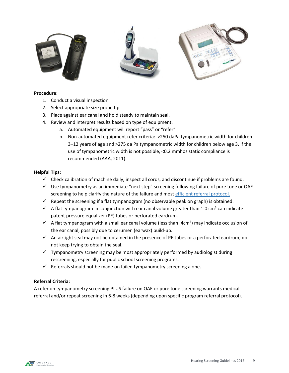

#### **Procedure:**

- 1. Conduct a visual inspection.
- 2. Select appropriate size probe tip.
- 3. Place against ear canal and hold steady to maintain seal.
- 4. Review and interpret results based on type of equipment.
	- a. Automated equipment will report "pass" or "refer"
	- b. Non-automated equipment refer criteria: >250 daPa tympanometric width for children 3–12 years of age and >275 da Pa tympanometric width for children below age 3. If the use of tympanometric width is not possible, <0.2 mmhos static compliance is recommended (AAA, 2011).

#### **Helpful Tips:**

- $\checkmark$  Check calibration of machine daily, inspect all cords, and discontinue if problems are found.
- $\checkmark$  Use tympanometry as an immediate "next step" screening following failure of pure tone or OAE screening to help clarify the nature of the failure and mos[t efficient referral protocol.](#page-20-0)
- $\checkmark$  Repeat the screening if a flat tympanogram (no observable peak on graph) is obtained.
- $\checkmark$  A flat tympanogram in conjunction with ear canal volume greater than 1.0 cm<sup>3</sup> can indicate patent pressure equalizer (PE) tubes or perforated eardrum.
- $\checkmark$  A flat tympanogram with a small ear canal volume (less than .4cm<sup>3</sup>) may indicate occlusion of the ear canal, possibly due to cerumen (earwax) build-up.
- $\checkmark$  An airtight seal may not be obtained in the presence of PE tubes or a perforated eardrum; do not keep trying to obtain the seal.
- $\checkmark$  Tympanometry screening may be most appropriately performed by audiologist during rescreening, especially for public school screening programs.
- $\checkmark$  Referrals should not be made on failed tympanometry screening alone.

#### **Referral Criteria:**

A refer on tympanometry screening PLUS failure on OAE or pure tone screening warrants medical referral and/or repeat screening in 6-8 weeks (depending upon specific program referral protocol).

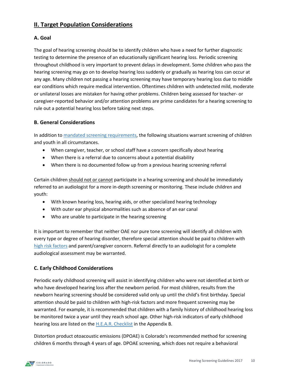# **II. Target Population Considerations**

# **A. Goal**

The goal of hearing screening should be to identify children who have a need for further diagnostic testing to determine the presence of an educationally significant hearing loss. Periodic screening throughout childhood is very important to prevent delays in development. Some children who pass the hearing screening may go on to develop hearing loss suddenly or gradually as hearing loss can occur at any age. Many children not passing a hearing screening may have temporary hearing loss due to middle ear conditions which require medical intervention. Oftentimes children with undetected mild, moderate or unilateral losses are mistaken for having other problems. Children being assessed for teacher- or caregiver-reported behavior and/or attention problems are prime candidates for a hearing screening to rule out a potential hearing loss before taking next steps.

# **B. General Considerations**

In addition t[o mandated screening requirements,](#page-3-0) the following situations warrant screening of children and youth in all circumstances.

- When caregiver, teacher, or school staff have a concern specifically about hearing
- When there is a referral due to concerns about a potential disability
- When there is no documented follow up from a previous hearing screening referral

Certain children should not or cannot participate in a hearing screening and should be immediately referred to an audiologist for a more in-depth screening or monitoring. These include children and youth:

- With known hearing loss, hearing aids, or other specialized hearing technology
- With outer ear physical abnormalities such as absence of an ear canal
- Who are unable to participate in the hearing screening

It is important to remember that neither OAE nor pure tone screening will identify all children with every type or degree of hearing disorder, therefore special attention should be paid to children with [high risk factors](#page-19-0) and parent/caregiver concern. Referral directly to an audiologist for a complete audiological assessment may be warranted.

# **C. Early Childhood Considerations**

Periodic early childhood screening will assist in identifying children who were not identified at birth or who have developed hearing loss after the newborn period. For most children, results from the newborn hearing screening should be considered valid only up until the child's first birthday. Special attention should be paid to children with high-risk factors and more frequent screening may be warranted. For example, it is recommended that children with a family history of childhood hearing loss be monitored twice a year until they reach school age. Other high-risk indicators of early childhood hearing loss are listed on the [H.E.A.R. Checklist](#page-19-0) in the Appendix B.

Distortion product otoacoustic emissions (DPOAE) is Colorado's recommended method for screening children 6 months through 4 years of age. DPOAE screening, which does not require a behavioral

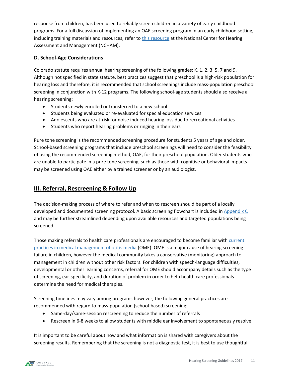response from children, has been used to reliably screen children in a variety of early childhood programs. For a full discussion of implementing an OAE screening program in an early childhood setting, including training materials and resources, refer to *[this resource](http://www.infanthearing.org/earlychildhood/)* at the National Center for Hearing Assessment and Management (NCHAM).

# **D. School-Age Considerations**

Colorado statute requires annual hearing screening of the following grades: K, 1, 2, 3, 5, 7 and 9. Although not specified in state statute, best practices suggest that preschool is a high-risk population for hearing loss and therefore, it is recommended that school screenings include mass-population preschool screening in conjunction with K-12 programs. The following school-age students should also receive a hearing screening:

- Students newly enrolled or transferred to a new school
- Students being evaluated or re-evaluated for special education services
- Adolescents who are at-risk for noise induced hearing loss due to recreational activities
- Students who report hearing problems or ringing in their ears

Pure tone screening is the recommended screening procedure for students 5 years of age and older. School-based screening programs that include preschool screenings will need to consider the feasibility of using the recommended screening method, OAE, for their preschool population. Older students who are unable to participate in a pure tone screening, such as those with cognitive or behavioral impacts may be screened using OAE either by a trained screener or by an audiologist.

# **III. Referral, Rescreening & Follow Up**

The decision-making process of where to refer and when to rescreen should be part of a locally developed and documented screening protocol. A basic screening flowchart is included i[n Appendix C](#page-20-0) and may be further streamlined depending upon available resources and targeted populations being screened.

Those making referrals to health care professionals are encouraged to become familiar wit[h current](http://www.entnet.org/sites/default/files/feb2016omeguidelinefactsheet.pdf)  [practices in medical management of otitis media](http://www.entnet.org/sites/default/files/feb2016omeguidelinefactsheet.pdf) (OME). OME is a major cause of hearing screening failure in children, however the medical community takes a conservative (monitoring) approach to management in children without other risk factors. For children with speech-language difficulties, developmental or other learning concerns, referral for OME should accompany details such as the type of screening, ear-specificity, and duration of problem in order to help health care professionals determine the need for medical therapies.

Screening timelines may vary among programs however, the following general practices are recommended with regard to mass-population (school-based) screening:

- Same-day/same-session rescreening to reduce the number of referrals
- Rescreen in 6-8 weeks to allow students with middle ear involvement to spontaneously resolve

It is important to be careful about how and what information is shared with caregivers about the screening results. Remembering that the screening is not a diagnostic test, it is best to use thoughtful

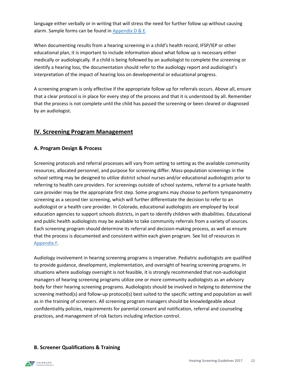language either verbally or in writing that will stress the need for further follow up without causing alarm. Sample forms can be found in Appendix  $D & E$ .

When documenting results from a hearing screening in a child's health record, IFSP/IEP or other educational plan, it is important to include information about what follow up is necessary either medically or audiologically. If a child is being followed by an audiologist to complete the screening or identify a hearing loss, the documentation should refer to the audiology report and audiologist's interpretation of the impact of hearing loss on developmental or educational progress.

A screening program is only effective if the appropriate follow up for referrals occurs. Above all, ensure that a clear protocol is in place for every step of the process and that it is understood by all. Remember that the process is not complete until the child has passed the screening or been cleared or diagnosed by an audiologist.

# **IV. Screening Program Management**

# **A. Program Design & Process**

Screening protocols and referral processes will vary from setting to setting as the available community resources, allocated personnel, and purpose for screening differ. Mass-population screenings in the school setting may be designed to utilize district school nurses and/or educational audiologists prior to referring to health care providers. For screenings outside of school systems, referral to a private health care provider may be the appropriate first step. Some programs may choose to perform tympanometry screening as a second tier screening, which will further differentiate the decision to refer to an audiologist or a health care provider. In Colorado, educational audiologists are employed by local education agencies to support schools districts, in part to identify children with disabilities. Educational and public health audiologists may be available to take community referrals from a variety of sources. Each screening program should determine its referral and decision-making process, as well as ensure that the process is documented and consistent within each given program. See list of resources in [Appendix F.](#page-23-0)

Audiology involvement in hearing screening programs is imperative. Pediatric audiologists are qualified to provide guidance, development, implementation, and oversight of hearing screening programs. In situations where audiology oversight is not feasible, it is strongly recommended that non-audiologist managers of hearing screening programs utilize one or more community audiologists as an advisory body for their hearing screening programs. Audiologists should be involved in helping to determine the screening method(s) and follow-up protocol(s) best suited to the specific setting and population as well as in the training of screeners. All screening program managers should be knowledgeable about confidentiality policies, requirements for parental consent and notification, referral and counseling practices, and management of risk factors including infection control.

# **B. Screener Qualifications & Training**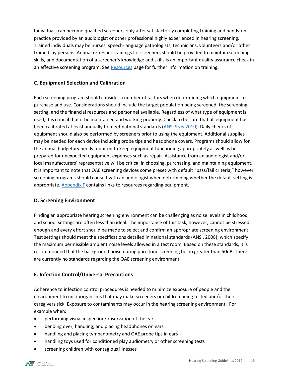Individuals can become qualified screeners only after satisfactorily completing training and hands-on practice provided by an audiologist or other professional highly experienced in hearing screening. Trained individuals may be nurses, speech-language pathologists, technicians, volunteers and/or other trained lay persons. Annual refresher trainings for screeners should be provided to maintain screening skills, and documentation of a screener's knowledge and skills is an important quality assurance check in an effective screening program. See [Resources](#page-23-0) page for further information on training.

# **C. Equipment Selection and Calibration**

Each screening program should consider a number of factors when determining which equipment to purchase and use. Considerations should include the target population being screened, the screening setting, and the financial resources and personnel available. Regardless of what type of equipment is used, it is critical that it be maintained and working properly. Check to be sure that all equipment has been calibrated at least annually to meet national standards [\(ANSI S3.6-2010\)](https://webstore.ansi.org/RecordDetail.aspx?sku=ASQ%2FANSI%20S3-2012&source=google&keyword=ansi%20s3&gclid=CjwKCAjwqcHLBRAqEiwA-j4AyOnzv76ZsPPb-sbNKmg-qUis_GLtN7SVtMMyuZJ7tplOpow8phSYRhoCIroQAvD_BwE). Daily checks of equipment should also be performed by screeners prior to using the equipment. Additional supplies may be needed for each device including probe tips and headphone covers. Programs should allow for the annual budgetary needs required to keep equipment functioning appropriately as well as be prepared for unexpected equipment expenses such as repair. Assistance from an audiologist and/or local manufacturers' representative will be critical in choosing, purchasing, and maintaining equipment. It is important to note that OAE screening devices come preset with default "pass/fail criteria," however screening programs should consult with an audiologist when determining whether the default setting is appropriate. [Appendix F](#page-23-0) contains links to resources regarding equipment.

# **D. Screening Environment**

Finding an appropriate hearing screening environment can be challenging as noise levels in childhood and school settings are often less than ideal. The importance of this task, however, cannot be stressed enough and every effort should be made to select and confirm an appropriate screening environment. Test settings should meet the specifications detailed in national standards (ANSI, 2008), which specify the maximum permissible ambient noise levels allowed in a test room. Based on these standards, it is recommended that the background noise during pure tone screening be no greater than 50dB. There are currently no standards regarding the OAE screening environment.

# **E. Infection Control/Universal Precautions**

Adherence to infection control procedures is needed to minimize exposure of people and the environment to microorganisms that may make screeners or children being tested and/or their caregivers sick. Exposure to contaminants may occur in the hearing screening environment. For example when:

- performing visual inspection/observation of the ear
- bending over, handling, and placing headphones on ears
- handling and placing tympanometry and OAE probe tips in ears
- handling toys used for conditioned play audiometry or other screening tests
- screening children with contagious illnesses

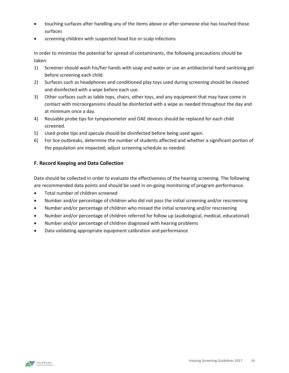- touching surfaces after handling any of the items above or after someone else has touched those surfaces
- screening children with suspected head lice or scalp infections

In order to minimize the potential for spread of contaminants, the following precautions should be taken:

- 1) Screener should wash his/her hands with soap and water or use an antibacterial hand sanitizing gel before screening each child.
- 2) Surfaces such as headphones and conditioned play toys used during screening should be cleaned and disinfected with a wipe before each use.
- 3) Other surfaces such as table tops, chairs, other toys, and any equipment that may have come in contact with microorganisms should be disinfected with a wipe as needed throughout the day and at minimum once a day.
- 4) Reusable probe tips for tympanometer and OAE devices should be replaced for each child screened.
- 5) Used probe tips and specula should be disinfected before being used again.
- 6) For lice outbreaks, determine the number of students affected and whether a significant portion of the population are impacted; adjust screening schedule as needed.

# **F. Record Keeping and Data Collection**

Data should be collected in order to evaluate the effectiveness of the hearing screening. The following are recommended data points and should be used in on-going monitoring of program performance.

- Total number of children screened
- Number and/or percentage of children who did not pass the initial screening and/or rescreening
- Number and/or percentage of children who missed the initial screening and/or rescreening
- Number and/or percentage of children referred for follow up (audiological, medical, educational)
- Number and/or percentage of children diagnosed with hearing problems
- Data validating appropriate equipment calibration and performance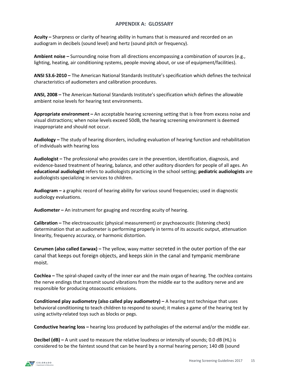#### **APPENDIX A: GLOSSARY**

**Acuity –** Sharpness or clarity of hearing ability in humans that is measured and recorded on an audiogram in decibels (sound level) and hertz (sound pitch or frequency).

**Ambient noise –** Surrounding noise from all directions encompassing a combination of sources (e.g., lighting, heating, air conditioning systems, people moving about, or use of equipment/facilities).

**ANSI S3.6-2010 –** The American National Standards Institute's specification which defines the technical characteristics of audiometers and calibration procedures.

**ANSI, 2008 –** The American National Standards Institute's specification which defines the allowable ambient noise levels for hearing test environments.

**Appropriate environment –** An acceptable hearing screening setting that is free from excess noise and visual distractions; when noise levels exceed 50dB, the hearing screening environment is deemed inappropriate and should not occur.

**Audiology –** The study of hearing disorders, including evaluation of hearing function and rehabilitation of individuals with hearing loss

**Audiologist –** The professional who provides care in the prevention, identification, diagnosis, and evidence-based treatment of hearing, balance, and other auditory disorders for people of all ages. An **educational audiologist** refers to audiologists practicing in the school setting; **pediatric audiologists** are audiologists specializing in services to children.

**Audiogram –** a graphic record of hearing ability for various sound frequencies; used in diagnostic audiology evaluations.

**Audiometer –** An instrument for gauging and recording acuity of hearing.

**Calibration –** The electroacoustic (physical measurement) or psychoacoustic (listening check) determination that an audiometer is performing properly in terms of its acoustic output, attenuation linearity, frequency accuracy, or harmonic distortion.

**Cerumen (also called Earwax) –** The yellow, waxy matter secreted in the outer portion of the ear canal that keeps out foreign objects, and keeps skin in the canal and tympanic membrane moist.

**Cochlea –** The spiral-shaped cavity of the inner ear and the main organ of hearing. The cochlea contains the nerve endings that transmit sound vibrations from the middle ear to the auditory nerve and are responsible for producing otoacoustic emissions.

**Conditioned play audiometry (also called play audiometry) –** A hearing test technique that uses behavioral conditioning to teach children to respond to sound; it makes a game of the hearing test by using activity-related toys such as blocks or pegs.

**Conductive hearing loss –** hearing loss produced by pathologies of the external and/or the middle ear.

**Decibel (dB) –** A unit used to measure the relative loudness or intensity of sounds; 0.0 dB (HL) is considered to be the faintest sound that can be heard by a normal hearing person; 140 dB (sound

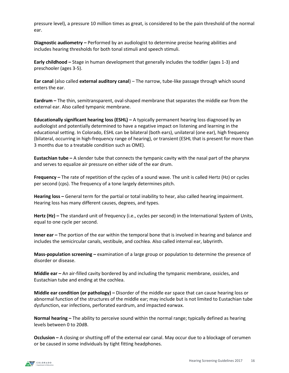pressure level), a pressure 10 million times as great, is considered to be the pain threshold of the normal ear.

**Diagnostic audiometry –** Performed by an audiologist to determine precise hearing abilities and includes hearing thresholds for both tonal stimuli and speech stimuli.

**Early childhood –** Stage in human development that generally includes the toddler (ages 1-3) and preschooler (ages 3-5).

**Ear canal** (also called **external auditory canal**) – The narrow, tube-like passage through which sound enters the ear.

**Eardrum –** The thin, semitransparent, oval-shaped membrane that separates the middle ear from the external ear. Also called tympanic membrane.

**Educationally significant hearing loss (ESHL) –** A typically permanent hearing loss diagnosed by an audiologist and potentially determined to have a negative impact on listening and learning in the educational setting. In Colorado, ESHL can be bilateral (both ears), unilateral (one ear), high frequency (bilateral, occurring in high-frequency range of hearing), or transient (ESHL that is present for more than 3 months due to a treatable condition such as OME).

**Eustachian tube –** A slender tube that connects the tympanic cavity with the nasal part of the pharynx and serves to equalize air pressure on either side of the ear drum.

**Frequency –** The rate of repetition of the cycles of a sound wave. The unit is called Hertz (Hz) or cycles per second (cps). The frequency of a tone largely determines pitch.

**Hearing loss –** General term for the partial or total inability to hear, also called hearing impairment. Hearing loss has many different causes, degrees, and types.

**Hertz (Hz) –** The standard unit of frequency (i.e., cycles per second) in the International System of Units, equal to one cycle per second.

**Inner ear** – The portion of the ear within the temporal bone that is involved in hearing and balance and includes the semicircular canals, vestibule, and cochlea. Also called internal ear, labyrinth.

**Mass-population screening –** examination of a large group or population to determine the presence of disorder or disease.

**Middle ear –** An air-filled cavity bordered by and including the tympanic membrane, ossicles, and Eustachian tube and ending at the cochlea.

**Middle ear condition (or pathology) –** Disorder of the middle ear space that can cause hearing loss or abnormal function of the structures of the middle ear; may include but is not limited to Eustachian tube dysfunction, ear infections, perforated eardrum, and impacted earwax.

**Normal hearing –** The ability to perceive sound within the normal range; typically defined as hearing levels between 0 to 20dB.

**Occlusion –** A closing or shutting off of the external ear canal. May occur due to a blockage of cerumen or be caused in some individuals by tight fitting headphones.

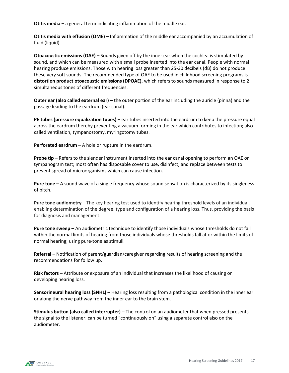**Otitis media –** a general term indicating inflammation of the middle ear.

**Otitis media with effusion (OME) –** Inflammation of the middle ear accompanied by an accumulation of fluid (liquid).

**Otoacoustic emissions (OAE) –** Sounds given off by the inner ear when the cochlea is stimulated by sound, and which can be measured with a small probe inserted into the ear canal. People with normal hearing produce emissions. Those with hearing loss greater than 25-30 decibels (dB) do not produce these very soft sounds. The recommended type of OAE to be used in childhood screening programs is **distortion product otoacoustic emissions (DPOAE),** which refers to sounds measured in response to 2 simultaneous tones of different frequencies.

**Outer ear (also called external ear) –** the outer portion of the ear including the auricle (pinna) and the passage leading to the eardrum (ear canal).

**PE tubes (pressure equalization tubes) –** ear tubes inserted into the eardrum to keep the pressure equal across the eardrum thereby preventing a vacuum forming in the ear which contributes to infection; also called ventilation, tympanostomy, myringotomy tubes.

**Perforated eardrum –** A hole or rupture in the eardrum.

**Probe tip –** Refers to the slender instrument inserted into the ear canal opening to perform an OAE or tympanogram test; most often has disposable cover to use, disinfect, and replace between tests to prevent spread of microorganisms which can cause infection.

**Pure tone –** A sound wave of a single frequency whose sound sensation is characterized by its singleness of pitch.

**Pure tone audiometry** – The key hearing test used to identify hearing threshold levels of an individual, enabling determination of the degree, type and configuration of a hearing loss. Thus, providing the basis for diagnosis and management.

**Pure tone sweep –** An audiometric technique to identify those individuals whose thresholds do not fall within the normal limits of hearing from those individuals whose thresholds fall at or within the limits of normal hearing; using pure-tone as stimuli.

**Referral –** Notification of parent/guardian/caregiver regarding results of hearing screening and the recommendations for follow up.

**Risk factors –** Attribute or exposure of an individual that increases the likelihood of causing or developing hearing loss.

**Sensorineural hearing loss (SNHL)** – Hearing loss resulting from a pathological condition in the inner ear or along the nerve pathway from the inner ear to the brain stem.

**Stimulus button (also called interrupter)** – The control on an audiometer that when pressed presents the signal to the listener; can be turned "continuously on" using a separate control also on the audiometer.

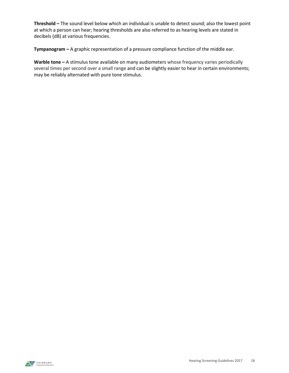**Threshold –** The sound level below which an individual is unable to detect sound; also the lowest point at which a person can hear; hearing thresholds are also referred to as hearing levels are stated in decibels (dB) at various frequencies.

**Tympanogram –** A graphic representation of a pressure compliance function of the middle ear.

**Warble tone –** A stimulus tone available on many audiometers whose frequency varies periodically several times per second over a small range and can be slightly easier to hear in certain environments; may be reliably alternated with pure tone stimulus.

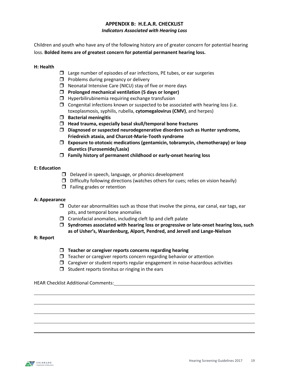# **APPENDIX B: H.E.A.R. CHECKLIST** *Indicators Associated with Hearing Loss*

<span id="page-19-0"></span>Children and youth who have any of the following history are of greater concern for potential hearing loss. **Bolded items are of greatest concern for potential permanent hearing loss.**

#### **H: Health**

- $\Box$  Large number of episodes of ear infections, PE tubes, or ear surgeries
- $\Box$  Problems during pregnancy or delivery
- $\Box$  Neonatal Intensive Care (NICU) stay of five or more days
- **Prolonged mechanical ventilation (5 days or longer)**
- $\Box$  Hyperbilirubinemia requiring exchange transfusion
- $\Box$  Congenital infections known or suspected to be associated with hearing loss (i.e. toxoplasmosis, syphilis, rubella, **cytomegalovirus (CMV)**, and herpes)
- **Bacterial meningitis**
- **Head trauma, especially basal skull/temporal bone fractures**
- **Diagnosed or suspected neurodegenerative disorders such as Hunter syndrome, Friedreich ataxia, and Charcot-Marie-Tooth syndrome**
- **Exposure to ototoxic medications (gentamicin, tobramycin, chemotherapy) or loop diuretics (Furosemide/Lasix)**
- **Family history of permanent childhood or early-onset hearing loss**

#### **E: Education**

- $\Box$  Delayed in speech, language, or phonics development
- $\Box$  Difficulty following directions (watches others for cues; relies on vision heavily)
- $\Box$  Failing grades or retention

#### **A: Appearance**

- $\Box$  Outer ear abnormalities such as those that involve the pinna, ear canal, ear tags, ear pits, and temporal bone anomalies
- $\Box$  Craniofacial anomalies, including cleft lip and cleft palate
- **Syndromes associated with hearing loss or progressive or late-onset hearing loss, such as of Usher's, Waardenburg, Alport, Pendred, and Jervell and Lange-Nielson**

#### **R: Report**

- **Teacher or caregiver reports concerns regarding hearing**
- $\Box$  Teacher or caregiver reports concern regarding behavior or attention
- $\Box$  Caregiver or student reports regular engagement in noise-hazardous activities
- $\Box$  Student reports tinnitus or ringing in the ears

#### HEAR Checklist Additional Comments:

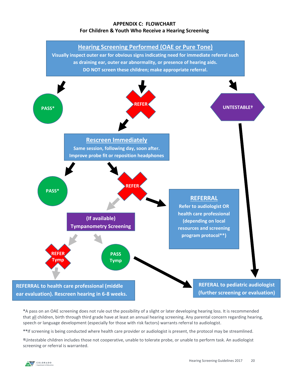# **APPENDIX C: FLOWCHART For Children & Youth Who Receive a Hearing Screening**

<span id="page-20-0"></span>

**\***A pass on an OAE screening does not rule out the possibility of a slight or later developing hearing loss. It is recommended that all children, birth through third grade have at least an annual hearing screening. Any parental concern regarding hearing, speech or language development (especially for those with risk factors) warrants referral to audiologist.

**\*\***If screening is being conducted where health care provider or audiologist is present, the protocol may be streamlined.

**†**Untestable children includes those not cooperative, unable to tolerate probe, or unable to perform task. An audiologist screening or referral is warranted.

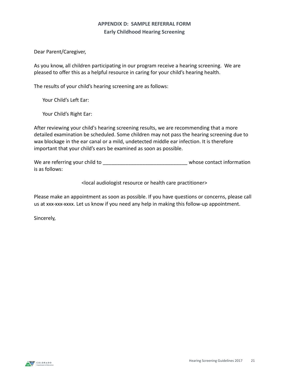# **APPENDIX D: SAMPLE REFERRAL FORM Early Childhood Hearing Screening**

<span id="page-21-0"></span>Dear Parent/Caregiver,

As you know, all children participating in our program receive a hearing screening. We are pleased to offer this as a helpful resource in caring for your child's hearing health.

The results of your child's hearing screening are as follows:

Your Child's Left Ear:

Your Child's Right Ear:

After reviewing your child's hearing screening results, we are recommending that a more detailed examination be scheduled. Some children may not pass the hearing screening due to wax blockage in the ear canal or a mild, undetected middle ear infection. It is therefore important that your child's ears be examined as soon as possible.

We are referring your child to **we are referring your child to**  $\blacksquare$ is as follows:

<local audiologist resource or health care practitioner>

Please make an appointment as soon as possible. If you have questions or concerns, please call us at xxx-xxx-xxxx. Let us know if you need any help in making this follow-up appointment.

Sincerely,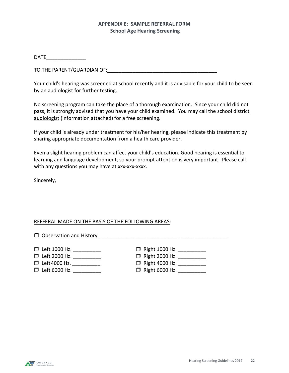# **APPENDIX E: SAMPLE REFERRAL FORM School Age Hearing Screening**

DATE\_\_\_\_\_\_\_\_\_\_\_\_\_\_

TO THE PARENT/GUARDIAN OF: THE RESERVE TO THE PARENT OUTLINE OF THE STATE OF THE STATE OF THE STATE OF THE STA

Your child's hearing was screened at school recently and it is advisable for your child to be seen by an audiologist for further testing.

No screening program can take the place of a thorough examination. Since your child did not pass, it is strongly advised that you have your child examined. You may call the school district audiologist (information attached) for a free screening.

If your child is already under treatment for his/her hearing, please indicate this treatment by sharing appropriate documentation from a health care provider.

Even a slight hearing problem can affect your child's education. Good hearing is essential to learning and language development, so your prompt attention is very important. Please call with any questions you may have at xxx-xxx-xxxx.

Sincerely,

# REFFERAL MADE ON THE BASIS OF THE FOLLOWING AREAS:

 $\Box$  Observation and History

- 
- Left 1000 Hz. \_\_\_\_\_\_\_\_\_\_ Right 1000 Hz. \_\_\_\_\_\_\_\_\_\_
- Left 2000 Hz. \_\_\_\_\_\_\_\_\_\_ Right 2000 Hz. \_\_\_\_\_\_\_\_\_\_
- - $\Box$  Right 4000 Hz. \_\_\_\_\_\_\_\_\_\_
- 
- □ Left 6000 Hz. \_\_\_\_\_\_\_\_\_\_\_\_\_ □ Right 6000 Hz. \_\_\_\_\_\_\_\_\_\_\_\_

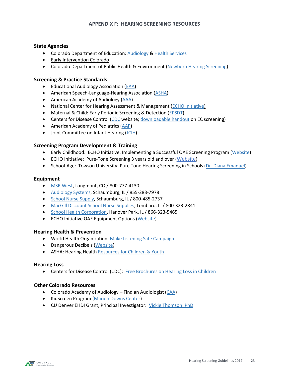#### <span id="page-23-1"></span>**APPENDIX F: HEARING SCREENING RESOURCES**

#### <span id="page-23-0"></span>**State Agencies**

- Colorado Department of Education: [Audiology](http://www.cde.state.co.us/cdesped/rs-edaudiology) & [Health Services](http://www.cde.state.co.us/healthandwellness/snh_healthservices)
- [Early Intervention Colorado](http://www.eicolorado.org/)
- Colorado Department of Public Health & Environment [\(Newborn Hearing Screening\)](https://www.colorado.gov/pacific/cdphe/newborn-hearing-screening)

#### **Screening & Practice Standards**

- Educational Audiology Association [\(EAA\)](http://www.edaud.org/advocacy/3-advocacy-09-09.pdf)
- American Speech-Language-Hearing Association [\(ASHA\)](http://www.asha.org/Practice-Portal/Professional-Issues/Childhood-Hearing-Screening/)
- American Academy of Audiology [\(AAA\)](http://audiology-web.s3.amazonaws.com/migrated/ChildhoodScreeningGuidelines.pdf_5399751c9ec216.42663963.pdf)
- National Center for Hearing Assessment & Management [\(ECHO Initiative\)](http://www.infanthearing.org/earlychildhood/index.html)
- Maternal & Child: Early Periodic Screening & Detection [\(EPSDT\)](http://mchb.hrsa.gov/maternal-child-health-initiatives/mchb-programs/early-periodic-screening-diagnosis-and-treatment)
- Centers for Disease Control [\(CDC](http://www.cdc.gov/ncbddd/hearingloss/recommendations.html) website[; downloadable handout](https://www.cdc.gov/ncbddd/hearingloss/freematerials/pcp-hearing-loss.pdf) on EC screening)
- American Academy of Pediatrics [\(AAP\)](https://www.aap.org/en-us/Documents/periodicity_schedule.pdf)
- Joint Committee on Infant Hearing [\(JCIH\)](http://www.jcih.org/)

#### **Screening Program Development & Training**

- Early Childhood: ECHO Initiative: Implementing a Successful OAE Screening Program [\(Website\)](http://www.infanthearing.org/earlychildhood/learning-to-implement.php)
- ECHO Initiative: Pure-Tone Screening 3 years old and over ([Website](http://www.infanthearing.org/earlychildhood/learning-to-implement-pure-tone.php))
- School-Age: Towson University: Pure Tone Hearing Screening in Schools [\(Dr. Diana Emanuel\)](http://www.towson.edu/chp/departments/asld/facultystaff/demanuel.html)

#### **Equipment**

- [MSR West,](http://www.msrwest.com/) Longmont, CO / 800-777-4130
- [Audiology Systems,](http://www.audiologysystems.com/) Schaumburg, IL / 855-283-7978
- [School Nurse Supply,](http://www.schoolnursesupplyinc.com/) Schaumburg, IL / 800-485-2737
- [MacGill Discount School Nurse Supplies,](https://www.macgill.com/) Lombard, IL / 800-323-2841
- [School Health Corporation,](https://www.schoolhealth.com/) Hanover Park, IL / 866-323-5465
- **•** ECHO Initiative OAE Equipment Options [\(Website\)](http://www.infanthearing.org/earlychildhood/oae-options/index.html)

#### **Hearing Health & Prevention**

- World Health Organization: [Make Listening Safe Campaign](http://www.who.int/pbd/deafness/activities/MLS/en/)
- Dangerous Decibels [\(Website\)](http://dangerousdecibels.org/)
- ASHA: Hearing Healt[h Resources for Children & Youth](http://www.asha.org/aud/HearingConservationChildren/)

#### **Hearing Loss**

• Centers for Disease Control (CDC): [Free Brochures on Hearing Loss in Children](http://www.cdc.gov/ncbddd/hearingloss/freematerials.html)

#### **Other Colorado Resources**

- Colorado Academy of Audiology Find an Audiologist [\(CAA\)](http://www.coaudiology.org/consumers/find-an-audiologist/)
- KidScreen Program [\(Marion Downs Center\)](https://www.mariondowns.com/our-programs/kidscreen)
- CU Denver EHDI Grant, Principal Investigator: [Vickie Thomson, PhD](mailto:vickie.thomson@ucdenver.edu?subject=Hearing%20Screening%20Assistance)

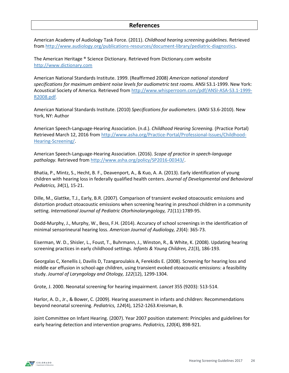#### **References**

American Academy of Audiology Task Force. (2011). *Childhood hearing screening guidelines.* Retrieved from [http://www.audiology.org/publications-resources/document-library/pediatric-diagnostics.](http://www.audiology.org/publications-resources/document-library/pediatric-diagnostics)

The American Heritage ® Science Dictionary. Retrieved from Dictionary.com website [http://www.dictionary.com](http://www.dictionary.com/)

American National Standards Institute. 1999. (Reaffirmed 2008) *American national standard specifications for maximum ambient noise levels for audiometric test rooms.* ANSI S3.1-1999. New York: Acoustical Society of America. Retrieved fro[m http://www.whisperroom.com/pdf/ANSI-ASA-S3.1-1999-](http://www.whisperroom.com/pdf/ANSI-ASA-S3.1-1999-R2008.pdf) [R2008.pdf.](http://www.whisperroom.com/pdf/ANSI-ASA-S3.1-1999-R2008.pdf)

American National Standards Institute. (2010) *Specifications for audiometers.* (ANSI S3.6-2010). New York, NY: Author

American Speech-Language-Hearing Association. (n.d.). *Childhood Hearing Screening.* (Practice Portal) Retrieved March 12, 2016 from [http://www.asha.org/Practice-Portal/Professional-Issues/Childhood-](http://www.asha.org/Practice-Portal/Professional-Issues/Childhood-Hearing-Screening/)[Hearing-Screening/.](http://www.asha.org/Practice-Portal/Professional-Issues/Childhood-Hearing-Screening/)

American Speech-Language-Hearing Association. (2016). *Scope of practice in speech-language pathology.* Retrieved from [http://www.asha.org/policy/SP2016-00343/.](http://www.asha.org/policy/SP2016-00343/)

Bhatia, P., Mintz, S., Hecht, B. F., Deavenport, A., & Kuo, A. A. (2013). Early identification of young children with hearing loss in federally qualified health centers. *Journal of Developmental and Behavioral Pediatrics, 34*(1), 15-21.

Dille, M., Glattke, T.J., Early, B.R. (2007). Comparison of transient evoked otoacoustic emissions and distortion product otoacoustic emissions when screening hearing in preschool children in a community setting. *International Journal of Pediatric Otorhinolaryngology, 71*(11):1789-95.

Dodd-Murphy, J., Murphy, W., Bess, F.H. (2014). Accuracy of school screenings in the identification of minimal sensorineural hearing loss. *American Journal of Audiology, 23*(4): 365-73.

Eiserman, W. D., Shisler, L., Foust, T., Buhrmann, J., Winston, R., & White, K. (2008). Updating hearing screening practices in early childhood settings. *Infants & Young Children, 21*(3), 186-193.

Georgalas C, Xenellis J, Davilis D, Tzangaroulakis A, Ferekidis E. (2008). Screening for hearing loss and middle ear effusion in school-age children, using transient evoked otoacoustic emissions: a feasibility study. *Journal of Laryngology and Otology, 122*(12), 1299-1304.

Grote, J. 2000. Neonatal screening for hearing impairment. *Lancet* 355 (9203): 513-514.

Harlor, A. D., Jr., & Bower, C. (2009). Hearing assessment in infants and children: Recommendations beyond neonatal screening. *Pediatrics, 124*(4), 1252-1263.Kreisman, B.

Joint Committee on Infant Hearing. (2007). Year 2007 position statement: Principles and guidelines for early hearing detection and intervention programs. *Pediatrics, 120*(4), 898-921.